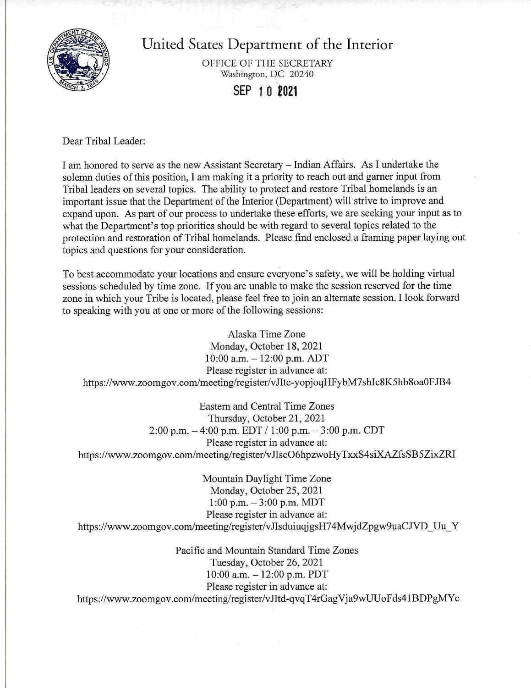

United States Department of the Interior

OFFICE OF THE SECRETARY Washington, DC 20240

**SEP 1 0 2021** 

Dear Tribal Leader:

I am honored to serve as the new Assistant Secretary - Indian Affairs. As I undertake the solemn duties of this position, I am making it a priority to reach out and garner input from Tribal leaders on several topics. The ability to protect and restore Tribal homelands is an important issue that the Department of the Interior (Department) will strive to improve and expand upon. As part of our process to undertake these efforts, we are seeking your input as to what the Department's top priorities should be with regard to several topics related to the protection and restoration of Tribal homelands. Please find enclosed a framing paper laying out topics and questions for your consideration.

To best accommodate your locations and ensure everyone's safety, we will be holding virtual sessions scheduled by time zone. If you are unable to make the session reserved for the time zone in which your Tribe is located, please feel free to join an alternate session. I look forward to speaking with you at one or more of the following sessions:

Alaska Time Zone Monday, October 18, 2021  $10:00$  a.m.  $-12:00$  p.m. ADT Please register in advance at: [https://www.zoomgov.com/meeting/register/vJitc-yopjoqHFybM7shlc8K5hb8oaOFJB4](https://www.zoomgov.com/meeting/register/vJItc-yopjoqHFybM7shIc8K5hb8oa0FJB4)

Eastern and Central Time Zones Thursday, October 21, 2021 2:00 p.m.  $-4:00$  p.m. EDT  $/1:00$  p.m.  $-3:00$  p.m. CDT Please register in advance at: [https://www.zoomgov.com/meeting/register/v JiscO6hpzwoHyTxxS4siXAZfsSB5 ZixZRl](https://www.zoomgov.com/meeting/register/vJIscO6hpzwoHyTxxS4siXAZfsSB5ZixZRI)

Mountain Daylight Time Zone Monday, October 25, 2021 1:00 p.m.  $-3:00$  p.m. MDT Please register in advance at: https://www.zoomgov.com/meeting/register/vJIsduiuqjgsH74MwjdZpgw9uaCJVD Uu Y

Pacific and Mountain Standard Time Zones Tuesday, October 26, 2021  $10:00$  a.m.  $-12:00$  p.m. PDT Please register in advance at: [https://www.zoomgov.com/meeting/register/vJitd-qvqT4rGagVja9wUUoFds41BDPgMYc](https://www.zoomgov.com/meeting/register/vJItd-qvqT4rGagVja9wUUoFds41BDPgMYc)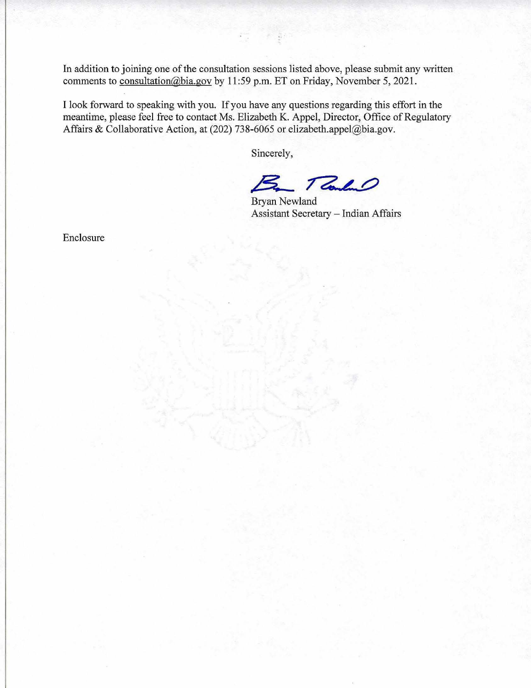In addition to joining one of the consultation sessions listed above, please submit any written comments to [consultation@bia.gov](mailto:consultation@bia.gov) by 11:59 p.m. ET on Friday, November 5, 2021.

I look forward to speaking with you. If you have any questions regarding this effort in the meantime, please feel free to contact Ms. Elizabeth K. Appel, Director, Office of Regulatory Affairs & Collaborative Action, at (202) 738-6065 or [elizabeth.appel@bia.gov](mailto:elizabeth.appel@bia.gov).

Sincerely,

Tele  $\mathbf{z}$ 

Bryan Newland Assistant Secretary - Indian Affairs

Enclosure